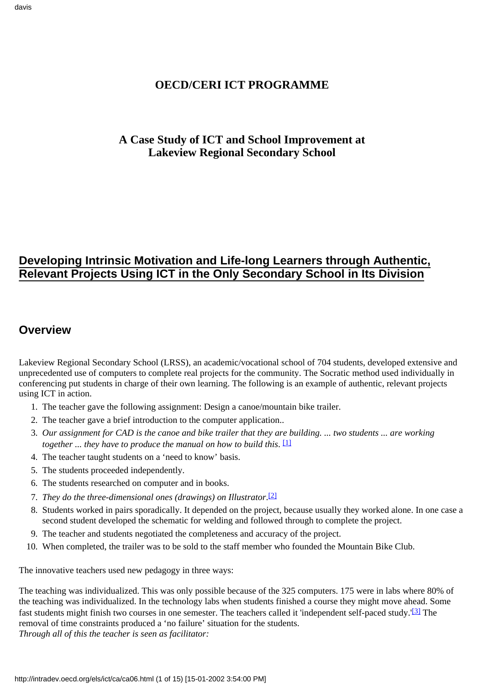### **OECD/CERI ICT PROGRAMME**

### **A Case Study of ICT and School Improvement at Lakeview Regional Secondary School**

## **Developing Intrinsic Motivation and Life-long Learners through Authentic, Relevant Projects Using ICT in the Only Secondary School in Its Division**

### **Overview**

Lakeview Regional Secondary School (LRSS), an academic/vocational school of 704 students, developed extensive and unprecedented use of computers to complete real projects for the community. The Socratic method used individually in conferencing put students in charge of their own learning. The following is an example of authentic, relevant projects using ICT in action.

- 1. The teacher gave the following assignment: Design a canoe/mountain bike trailer.
- 2. The teacher gave a brief introduction to the computer application..
- <span id="page-0-0"></span>*Our assignment for CAD is the canoe and bike trailer that they are building. ... two students ... are working* 3. *together ... they have to produce the manual on how to build this.*  $\Box$
- 4. The teacher taught students on a 'need to know' basis.
- 5. The students proceeded independently.
- 6. The students researched on computer and in books.
- <span id="page-0-1"></span>*T. They do the three-dimensional ones (drawings) on Illustrator.* [\[2\]](#page-13-1)
- Students worked in pairs sporadically. It depended on the project, because usually they worked alone. In one case a 8. second student developed the schematic for welding and followed through to complete the project.
- 9. The teacher and students negotiated the completeness and accuracy of the project.
- 10. When completed, the trailer was to be sold to the staff member who founded the Mountain Bike Club.

The innovative teachers used new pedagogy in three ways:

<span id="page-0-2"></span>The teaching was individualized. This was only possible because of the 325 computers. 175 were in labs where 80% of the teaching was individualized. In the technology labs when students finished a course they might move ahead. Some fast students might finish two courses in one semester. The teachers called it 'independent self-paced study.'<sup>[3]</sup> The removal of time constraints produced a 'no failure' situation for the students. *Through all of this the teacher is seen as facilitator:*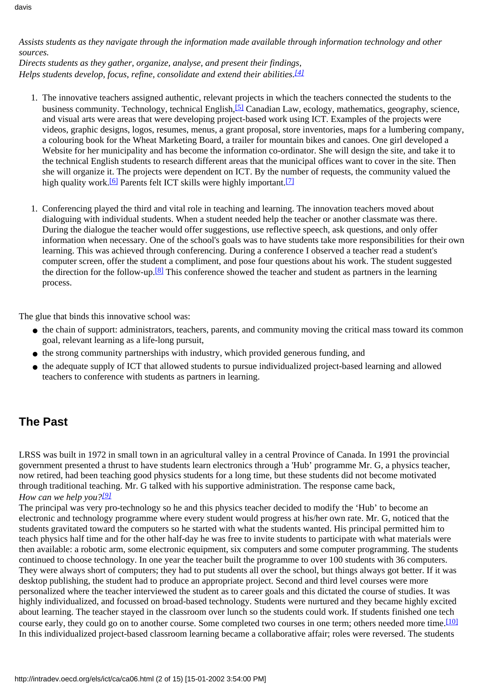*Assists students as they navigate through the information made available through information technology and other sources.*

<span id="page-1-0"></span>*Directs students as they gather, organize, analyse, and present their findings, Helps students develop, focus, refine, consolidate and extend their abilities[.\[4\]](#page-13-3)*

- <span id="page-1-1"></span>1. The innovative teachers assigned authentic, relevant projects in which the teachers connected the students to the business community. Technology, technical English[,\[5\]](#page-13-4) Canadian Law, ecology, mathematics, geography, science, and visual arts were areas that were developing project-based work using ICT. Examples of the projects were videos, graphic designs, logos, resumes, menus, a grant proposal, store inventories, maps for a lumbering company, a colouring book for the Wheat Marketing Board, a trailer for mountain bikes and canoes. One girl developed a Website for her municipality and has become the information co-ordinator. She will design the site, and take it to the technical English students to research different areas that the municipal offices want to cover in the site. Then she will organize it. The projects were dependent on ICT. By the number of requests, the community valued the high quality work.<sup>[\[6\]](#page-13-5)</sup> Parents felt ICT skills were highly important.<sup>[7]</sup>
- <span id="page-1-2"></span>1. Conferencing played the third and vital role in teaching and learning. The innovation teachers moved about dialoguing with individual students. When a student needed help the teacher or another classmate was there. During the dialogue the teacher would offer suggestions, use reflective speech, ask questions, and only offer information when necessary. One of the school's goals was to have students take more responsibilities for their own learning. This was achieved through conferencing. During a conference I observed a teacher read a student's computer screen, offer the student a compliment, and pose four questions about his work. The student suggested the direction for the follow-up.<sup>[\[8\]](#page-13-7)</sup> This conference showed the teacher and student as partners in the learning process.

<span id="page-1-3"></span>The glue that binds this innovative school was:

- the chain of support: administrators, teachers, parents, and community moving the critical mass toward its common goal, relevant learning as a life-long pursuit,
- the strong community partnerships with industry, which provided generous funding, and
- the adequate supply of ICT that allowed students to pursue individualized project-based learning and allowed teachers to conference with students as partners in learning.

## **The Past**

LRSS was built in 1972 in small town in an agricultural valley in a central Province of Canada. In 1991 the provincial government presented a thrust to have students learn electronics through a 'Hub' programme Mr. G, a physics teacher, now retired, had been teaching good physics students for a long time, but these students did not become motivated through traditional teaching. Mr. G talked with his supportive administration. The response came back, *How can we help you[?\[9\]](#page-13-8)*

<span id="page-1-5"></span><span id="page-1-4"></span>The principal was very pro-technology so he and this physics teacher decided to modify the 'Hub' to become an electronic and technology programme where every student would progress at his/her own rate. Mr. G, noticed that the students gravitated toward the computers so he started with what the students wanted. His principal permitted him to teach physics half time and for the other half-day he was free to invite students to participate with what materials were then available: a robotic arm, some electronic equipment, six computers and some computer programming. The students continued to choose technology. In one year the teacher built the programme to over 100 students with 36 computers. They were always short of computers; they had to put students all over the school, but things always got better. If it was desktop publishing, the student had to produce an appropriate project. Second and third level courses were more personalized where the teacher interviewed the student as to career goals and this dictated the course of studies. It was highly individualized, and focussed on broad-based technology. Students were nurtured and they became highly excited about learning. The teacher stayed in the classroom over lunch so the students could work. If students finished one tech course early, they could go on to another course. Some completed two courses in one term; others needed more time.<sup>[10]</sup> In this individualized project-based classroom learning became a collaborative affair; roles were reversed. The students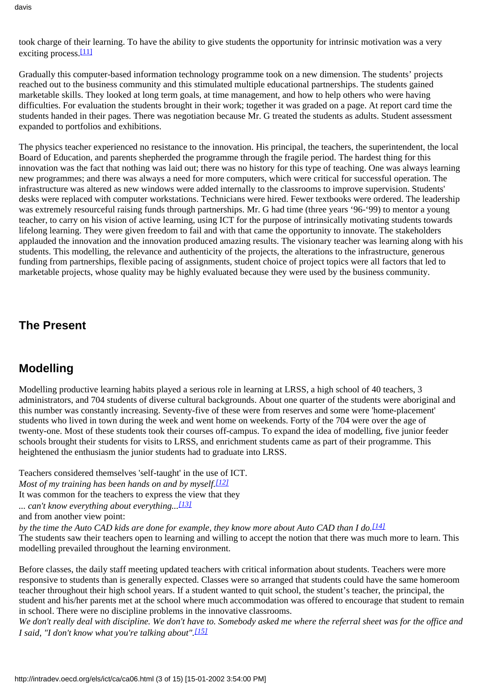<span id="page-2-0"></span>took charge of their learning. To have the ability to give students the opportunity for intrinsic motivation was a very exciting process.<sup>[\[11\]](#page-13-10)</sup>

Gradually this computer-based information technology programme took on a new dimension. The students' projects reached out to the business community and this stimulated multiple educational partnerships. The students gained marketable skills. They looked at long term goals, at time management, and how to help others who were having difficulties. For evaluation the students brought in their work; together it was graded on a page. At report card time the students handed in their pages. There was negotiation because Mr. G treated the students as adults. Student assessment expanded to portfolios and exhibitions.

The physics teacher experienced no resistance to the innovation. His principal, the teachers, the superintendent, the local Board of Education, and parents shepherded the programme through the fragile period. The hardest thing for this innovation was the fact that nothing was laid out; there was no history for this type of teaching. One was always learning new programmes; and there was always a need for more computers, which were critical for successful operation. The infrastructure was altered as new windows were added internally to the classrooms to improve supervision. Students' desks were replaced with computer workstations. Technicians were hired. Fewer textbooks were ordered. The leadership was extremely resourceful raising funds through partnerships. Mr. G had time (three years '96-'99) to mentor a young teacher, to carry on his vision of active learning, using ICT for the purpose of intrinsically motivating students towards lifelong learning. They were given freedom to fail and with that came the opportunity to innovate. The stakeholders applauded the innovation and the innovation produced amazing results. The visionary teacher was learning along with his students. This modelling, the relevance and authenticity of the projects, the alterations to the infrastructure, generous funding from partnerships, flexible pacing of assignments, student choice of project topics were all factors that led to marketable projects, whose quality may be highly evaluated because they were used by the business community.

## **The Present**

## **Modelling**

Modelling productive learning habits played a serious role in learning at LRSS, a high school of 40 teachers, 3 administrators, and 704 students of diverse cultural backgrounds. About one quarter of the students were aboriginal and this number was constantly increasing. Seventy-five of these were from reserves and some were 'home-placement' students who lived in town during the week and went home on weekends. Forty of the 704 were over the age of twenty-one. Most of these students took their courses off-campus. To expand the idea of modelling, five junior feeder schools brought their students for visits to LRSS, and enrichment students came as part of their programme. This heightened the enthusiasm the junior students had to graduate into LRSS.

<span id="page-2-1"></span>Teachers considered themselves 'self-taught' in the use of ICT. *Most of my training has been hands on and by myself[.\[12\]](#page-13-11)* It was common for the teachers to express the view that they *... can't know everything about everything...[\[13\]](#page-14-0)*

<span id="page-2-3"></span>*by the time the Auto CAD kids are done for example, they know more about Auto CAD than I do.[\[14\]](#page-14-1)*

The students saw their teachers open to learning and willing to accept the notion that there was much more to learn. This modelling prevailed throughout the learning environment.

Before classes, the daily staff meeting updated teachers with critical information about students. Teachers were more responsive to students than is generally expected. Classes were so arranged that students could have the same homeroom teacher throughout their high school years. If a student wanted to quit school, the student's teacher, the principal, the student and his/her parents met at the school where much accommodation was offered to encourage that student to remain in school. There were no discipline problems in the innovative classrooms.

<span id="page-2-4"></span>*We don't really deal with discipline. We don't have to. Somebody asked me where the referral sheet was for the office and I said, "I don't know what you're talking about"[.\[15\]](#page-14-2)*

<span id="page-2-2"></span>and from another view point: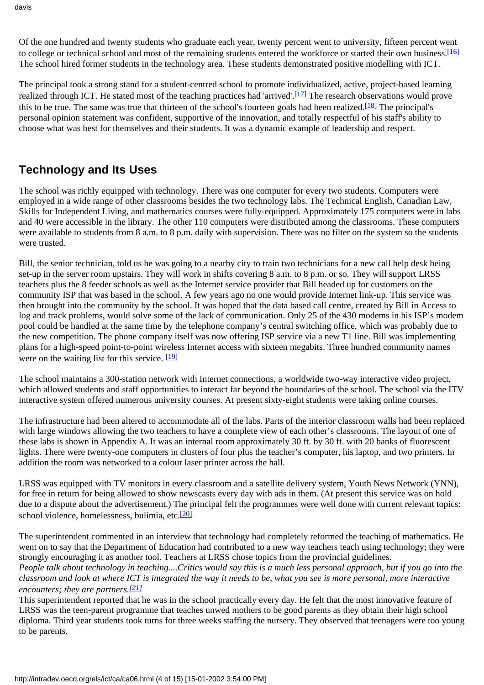<span id="page-3-0"></span>Of the one hundred and twenty students who graduate each year, twenty percent went to university, fifteen percent went to college or technical school and most of the remaining students entered the workforce or started their own business.[\[16\]](#page-14-3) The school hired former students in the technology area. These students demonstrated positive modelling with ICT.

<span id="page-3-2"></span><span id="page-3-1"></span>The principal took a strong stand for a student-centred school to promote individualized, active, project-based learning realized through ICT. He stated most of the teaching practices had 'arrived'.[\[17\]](#page-14-4) The research observations would prove this to be true. The same was true that thirteen of the school's fourteen goals had been realized[.\[18\]](#page-14-5) The principal's personal opinion statement was confident, supportive of the innovation, and totally respectful of his staff's ability to choose what was best for themselves and their students. It was a dynamic example of leadership and respect.

## **Technology and Its Uses**

The school was richly equipped with technology. There was one computer for every two students. Computers were employed in a wide range of other classrooms besides the two technology labs. The Technical English, Canadian Law, Skills for Independent Living, and mathematics courses were fully-equipped. Approximately 175 computers were in labs and 40 were accessible in the library. The other 110 computers were distributed among the classrooms. These computers were available to students from 8 a.m. to 8 p.m. daily with supervision. There was no filter on the system so the students were trusted.

Bill, the senior technician, told us he was going to a nearby city to train two technicians for a new call help desk being set-up in the server room upstairs. They will work in shifts covering 8 a.m. to 8 p.m. or so. They will support LRSS teachers plus the 8 feeder schools as well as the Internet service provider that Bill headed up for customers on the community ISP that was based in the school. A few years ago no one would provide Internet link-up. This service was then brought into the community by the school. It was hoped that the data based call centre, created by Bill in Access to log and track problems, would solve some of the lack of communication. Only 25 of the 430 modems in his ISP's modem pool could be handled at the same time by the telephone company's central switching office, which was probably due to the new competition. The phone company itself was now offering ISP service via a new T1 line. Bill was implementing plans for a high-speed point-to-point wireless Internet access with sixteen megabits. Three hundred community names were on the waiting list for this service. [\[19\]](#page-14-6)

<span id="page-3-3"></span>The school maintains a 300-station network with Internet connections, a worldwide two-way interactive video project, which allowed students and staff opportunities to interact far beyond the boundaries of the school. The school via the ITV interactive system offered numerous university courses. At present sixty-eight students were taking online courses.

The infrastructure had been altered to accommodate all of the labs. Parts of the interior classroom walls had been replaced with large windows allowing the two teachers to have a complete view of each other's classrooms. The layout of one of these labs is shown in Appendix A. It was an internal room approximately 30 ft. by 30 ft. with 20 banks of fluorescent lights. There were twenty-one computers in clusters of four plus the teacher's computer, his laptop, and two printers. In addition the room was networked to a colour laser printer across the hall.

LRSS was equipped with TV monitors in every classroom and a satellite delivery system, Youth News Network (YNN), for free in return for being allowed to show newscasts every day with ads in them. (At present this service was on hold due to a dispute about the advertisement.) The principal felt the programmes were well done with current relevant topics: school violence, homelessness, bulimia, etc[.\[20\]](#page-14-7)

<span id="page-3-4"></span>The superintendent commented in an interview that technology had completely reformed the teaching of mathematics. He went on to say that the Department of Education had contributed to a new way teachers teach using technology; they were strongly encouraging it as another tool. Teachers at LRSS chose topics from the provincial guidelines.

*People talk about technology in teaching....Critics would say this is a much less personal approach, but if you go into the classroom and look at where ICT is integrated the way it needs to be, what you see is more personal, more interactive encounters; they are partners.[\[21\]](#page-14-8)*

<span id="page-3-5"></span>This superintendent reported that he was in the school practically every day. He felt that the most innovative feature of LRSS was the teen-parent programme that teaches unwed mothers to be good parents as they obtain their high school diploma. Third year students took turns for three weeks staffing the nursery. They observed that teenagers were too young to be parents.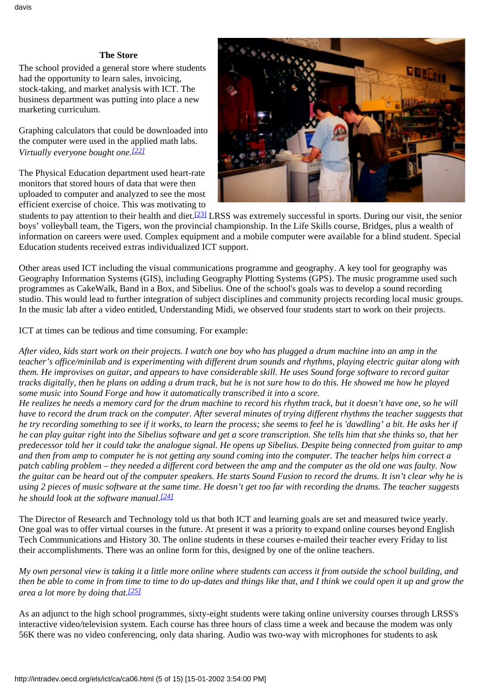#### **The Store**

The school provided a general store where students had the opportunity to learn sales, invoicing, stock-taking, and market analysis with ICT. The business department was putting into place a new marketing curriculum.

Graphing calculators that could be downloaded into the computer were used in the applied math labs. *Virtually everyone bought one[.\[22\]](#page-14-9)*

<span id="page-4-0"></span>The Physical Education department used heart-rate monitors that stored hours of data that were then uploaded to computer and analyzed to see the most efficient exercise of choice. This was motivating to



<span id="page-4-1"></span>students to pay attention to their health and diet.<sup>[23]</sup> LRSS was extremely successful in sports. During our visit, the senior boys' volleyball team, the Tigers, won the provincial championship. In the Life Skills course, Bridges, plus a wealth of information on careers were used. Complex equipment and a mobile computer were available for a blind student. Special Education students received extras individualized ICT support.

Other areas used ICT including the visual communications programme and geography. A key tool for geography was Geography Information Systems (GIS), including Geography Plotting Systems (GPS). The music programme used such programmes as CakeWalk, Band in a Box, and Sibelius. One of the school's goals was to develop a sound recording studio. This would lead to further integration of subject disciplines and community projects recording local music groups. In the music lab after a video entitled, Understanding Midi, we observed four students start to work on their projects.

ICT at times can be tedious and time consuming. For example:

*After video, kids start work on their projects. I watch one boy who has plugged a drum machine into an amp in the teacher's office/minilab and is experimenting with different drum sounds and rhythms, playing electric guitar along with them. He improvises on guitar, and appears to have considerable skill. He uses Sound forge software to record guitar tracks digitally, then he plans on adding a drum track, but he is not sure how to do this. He showed me how he played some music into Sound Forge and how it automatically transcribed it into a score.*

*He realizes he needs a memory card for the drum machine to record his rhythm track, but it doesn't have one, so he will have to record the drum track on the computer. After several minutes of trying different rhythms the teacher suggests that he try recording something to see if it works, to learn the process; she seems to feel he is 'dawdling' a bit. He asks her if he can play guitar right into the Sibelius software and get a score transcription. She tells him that she thinks so, that her predecessor told her it could take the analogue signal. He opens up Sibelius. Despite being connected from guitar to amp and then from amp to computer he is not getting any sound coming into the computer. The teacher helps him correct a patch cabling problem – they needed a different cord between the amp and the computer as the old one was faulty. Now the guitar can be heard out of the computer speakers. He starts Sound Fusion to record the drums. It isn't clear why he is using 2 pieces of music software at the same time. He doesn't get too far with recording the drums. The teacher suggests he should look at the software manual[.\[24\]](#page-14-11)*

<span id="page-4-2"></span>The Director of Research and Technology told us that both ICT and learning goals are set and measured twice yearly. One goal was to offer virtual courses in the future. At present it was a priority to expand online courses beyond English Tech Communications and History 30. The online students in these courses e-mailed their teacher every Friday to list their accomplishments. There was an online form for this, designed by one of the online teachers.

<span id="page-4-3"></span>*My own personal view is taking it a little more online where students can access it from outside the school building, and then be able to come in from time to time to do up-dates and things like that, and I think we could open it up and grow the area a lot more by doing that[.\[25\]](#page-14-12)*

As an adjunct to the high school programmes, sixty-eight students were taking online university courses through LRSS's interactive video/television system. Each course has three hours of class time a week and because the modem was only 56K there was no video conferencing, only data sharing. Audio was two-way with microphones for students to ask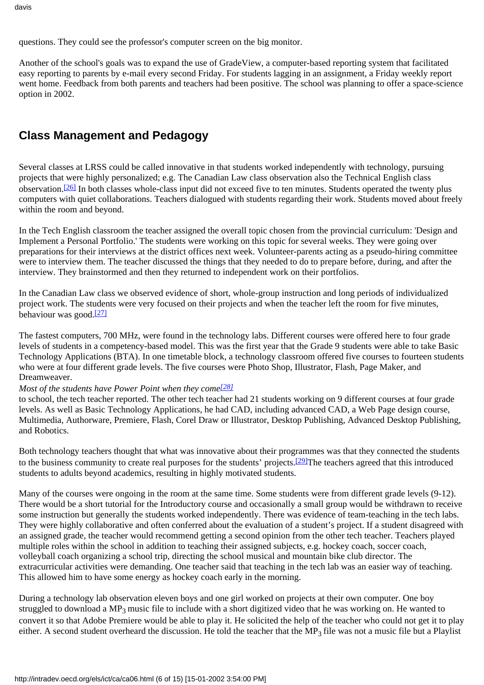questions. They could see the professor's computer screen on the big monitor.

Another of the school's goals was to expand the use of GradeView, a computer-based reporting system that facilitated easy reporting to parents by e-mail every second Friday. For students lagging in an assignment, a Friday weekly report went home. Feedback from both parents and teachers had been positive. The school was planning to offer a space-science option in 2002.

## **Class Management and Pedagogy**

<span id="page-5-0"></span>Several classes at LRSS could be called innovative in that students worked independently with technology, pursuing projects that were highly personalized; e.g. The Canadian Law class observation also the Technical English class observation[.\[26\]](#page-14-13) In both classes whole-class input did not exceed five to ten minutes. Students operated the twenty plus computers with quiet collaborations. Teachers dialogued with students regarding their work. Students moved about freely within the room and beyond.

In the Tech English classroom the teacher assigned the overall topic chosen from the provincial curriculum: 'Design and Implement a Personal Portfolio.' The students were working on this topic for several weeks. They were going over preparations for their interviews at the district offices next week. Volunteer-parents acting as a pseudo-hiring committee were to interview them. The teacher discussed the things that they needed to do to prepare before, during, and after the interview. They brainstormed and then they returned to independent work on their portfolios.

<span id="page-5-1"></span>In the Canadian Law class we observed evidence of short, whole-group instruction and long periods of individualized project work. The students were very focused on their projects and when the teacher left the room for five minutes, behaviour was good[.\[27\]](#page-14-14)

The fastest computers, 700 MHz, were found in the technology labs. Different courses were offered here to four grade levels of students in a competency-based model. This was the first year that the Grade 9 students were able to take Basic Technology Applications (BTA). In one timetable block, a technology classroom offered five courses to fourteen students who were at four different grade levels. The five courses were Photo Shop, Illustrator, Flash, Page Maker, and Dreamweaver.

#### <span id="page-5-2"></span>*Most of the students have Power Point when they come*<sup>[\[28\]](#page-14-15)</sup>

to school, the tech teacher reported. The other tech teacher had 21 students working on 9 different courses at four grade levels. As well as Basic Technology Applications, he had CAD, including advanced CAD, a Web Page design course, Multimedia, Authorware, Premiere, Flash, Corel Draw or Illustrator, Desktop Publishing, Advanced Desktop Publishing, and Robotics.

<span id="page-5-3"></span>Both technology teachers thought that what was innovative about their programmes was that they connected the students to the business community to create real purposes for the students' projects.<sup>[29]</sup>The teachers agreed that this introduced students to adults beyond academics, resulting in highly motivated students.

Many of the courses were ongoing in the room at the same time. Some students were from different grade levels (9-12). There would be a short tutorial for the Introductory course and occasionally a small group would be withdrawn to receive some instruction but generally the students worked independently. There was evidence of team-teaching in the tech labs. They were highly collaborative and often conferred about the evaluation of a student's project. If a student disagreed with an assigned grade, the teacher would recommend getting a second opinion from the other tech teacher. Teachers played multiple roles within the school in addition to teaching their assigned subjects, e.g. hockey coach, soccer coach, volleyball coach organizing a school trip, directing the school musical and mountain bike club director. The extracurricular activities were demanding. One teacher said that teaching in the tech lab was an easier way of teaching. This allowed him to have some energy as hockey coach early in the morning.

During a technology lab observation eleven boys and one girl worked on projects at their own computer. One boy struggled to download a MP<sub>3</sub> music file to include with a short digitized video that he was working on. He wanted to convert it so that Adobe Premiere would be able to play it. He solicited the help of the teacher who could not get it to play either. A second student overheard the discussion. He told the teacher that the  $MP_3$  file was not a music file but a Playlist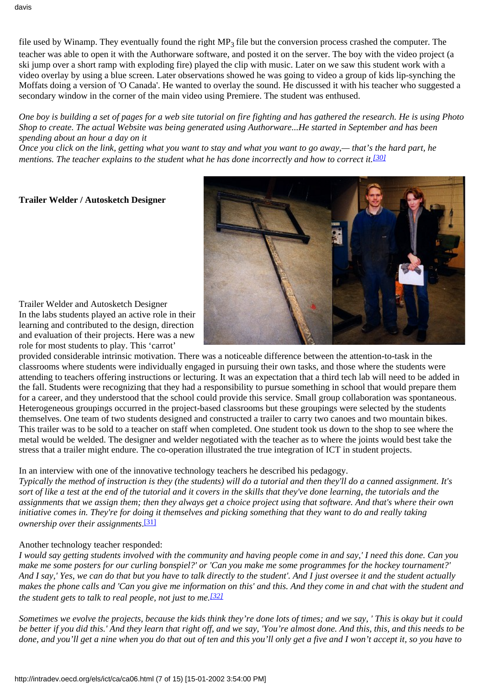file used by Winamp. They eventually found the right  $MP_3$  file but the conversion process crashed the computer. The teacher was able to open it with the Authorware software, and posted it on the server. The boy with the video project (a ski jump over a short ramp with exploding fire) played the clip with music. Later on we saw this student work with a video overlay by using a blue screen. Later observations showed he was going to video a group of kids lip-synching the Moffats doing a version of 'O Canada'. He wanted to overlay the sound. He discussed it with his teacher who suggested a secondary window in the corner of the main video using Premiere. The student was enthused.

*One boy is building a set of pages for a web site tutorial on fire fighting and has gathered the research. He is using Photo Shop to create. The actual Website was being generated using Authorware...He started in September and has been spending about an hour a day on it*

<span id="page-6-0"></span>*Once you click on the link, getting what you want to stay and what you want to go away,— that's the hard part, he mentions. The teacher explains to the student what he has done incorrectly and how to correct it.[\[30\]](#page-14-17)*

**Trailer Welder / Autosketch Designer**



Trailer Welder and Autosketch Designer In the labs students played an active role in their learning and contributed to the design, direction and evaluation of their projects. Here was a new role for most students to play. This 'carrot'

provided considerable intrinsic motivation. There was a noticeable difference between the attention-to-task in the classrooms where students were individually engaged in pursuing their own tasks, and those where the students were attending to teachers offering instructions or lecturing. It was an expectation that a third tech lab will need to be added in the fall. Students were recognizing that they had a responsibility to pursue something in school that would prepare them for a career, and they understood that the school could provide this service. Small group collaboration was spontaneous. Heterogeneous groupings occurred in the project-based classrooms but these groupings were selected by the students themselves. One team of two students designed and constructed a trailer to carry two canoes and two mountain bikes. This trailer was to be sold to a teacher on staff when completed. One student took us down to the shop to see where the metal would be welded. The designer and welder negotiated with the teacher as to where the joints would best take the stress that a trailer might endure. The co-operation illustrated the true integration of ICT in student projects.

#### In an interview with one of the innovative technology teachers he described his pedagogy.

*Typically the method of instruction is they (the students) will do a tutorial and then they'll do a canned assignment. It's sort of like a test at the end of the tutorial and it covers in the skills that they've done learning, the tutorials and the assignments that we assign them; then they always get a choice project using that software. And that's where their own initiative comes in. They're for doing it themselves and picking something that they want to do and really taking ownership over their assignments*. [\[31\]](#page-14-18)

#### <span id="page-6-1"></span>Another technology teacher responded:

*I would say getting students involved with the community and having people come in and say,' I need this done. Can you make me some posters for our curling bonspiel?' or 'Can you make me some programmes for the hockey tournament?' And I say,' Yes, we can do that but you have to talk directly to the student'. And I just oversee it and the student actually makes the phone calls and 'Can you give me information on this' and this. And they come in and chat with the student and the student gets to talk to real people, not just to me[.\[32\]](#page-14-19)*

<span id="page-6-2"></span>*Sometimes we evolve the projects, because the kids think they're done lots of times; and we say, ' This is okay but it could be better if you did this.' And they learn that right off, and we say, 'You're almost done. And this, this, and this needs to be done, and you'll get a nine when you do that out of ten and this you'll only get a five and I won't accept it, so you have to*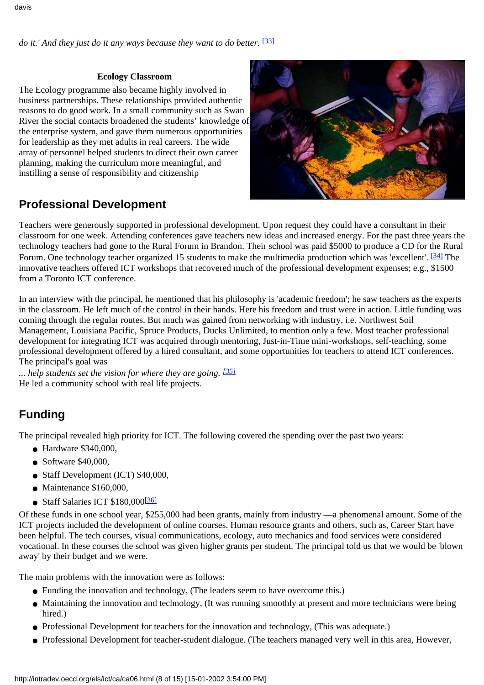<span id="page-7-0"></span>*do it.' And they just do it any ways because they want to do better.* [\[33\]](#page-14-20)

#### **Ecology Classroom**

The Ecology programme also became highly involved in business partnerships. These relationships provided authentic reasons to do good work. In a small community such as Swan River the social contacts broadened the students' knowledge of the enterprise system, and gave them numerous opportunities for leadership as they met adults in real careers. The wide array of personnel helped students to direct their own career planning, making the curriculum more meaningful, and instilling a sense of responsibility and citizenship



## **Professional Development**

<span id="page-7-1"></span>Teachers were generously supported in professional development. Upon request they could have a consultant in their classroom for one week. Attending conferences gave teachers new ideas and increased energy. For the past three years the technology teachers had gone to the Rural Forum in Brandon. Their school was paid \$5000 to produce a CD for the Rural Forum. One technology teacher organized 15 students to make the multimedia production which was 'excellent'. <sup>[\[34\]](#page-14-21)</sup> The innovative teachers offered ICT workshops that recovered much of the professional development expenses; e.g., \$1500 from a Toronto ICT conference.

In an interview with the principal, he mentioned that his philosophy is 'academic freedom'; he saw teachers as the experts in the classroom. He left much of the control in their hands. Here his freedom and trust were in action. Little funding was coming through the regular routes. But much was gained from networking with industry, i.e. Northwest Soil Management, Louisiana Pacific, Spruce Products, Ducks Unlimited, to mention only a few. Most teacher professional development for integrating ICT was acquired through mentoring, Just-in-Time mini-workshops, self-teaching, some professional development offered by a hired consultant, and some opportunities for teachers to attend ICT conferences. The principal's goal was

<span id="page-7-2"></span>*... help students set the vision for where they are going. [\[35\]](#page-14-22)* He led a community school with real life projects.

# **Funding**

The principal revealed high priority for ICT. The following covered the spending over the past two years:

- Hardware \$340,000,
- $\bullet$  Software \$40,000.
- Staff Development (ICT) \$40,000,
- Maintenance \$160,000,
- Staff Salaries ICT  $$180,000$ <sup>[\[36\]](#page-14-23)</sup>

<span id="page-7-3"></span>Of these funds in one school year, \$255,000 had been grants, mainly from industry —a phenomenal amount. Some of the ICT projects included the development of online courses. Human resource grants and others, such as, Career Start have been helpful. The tech courses, visual communications, ecology, auto mechanics and food services were considered vocational. In these courses the school was given higher grants per student. The principal told us that we would be 'blown away' by their budget and we were.

The main problems with the innovation were as follows:

- Funding the innovation and technology, (The leaders seem to have overcome this.)
- Maintaining the innovation and technology, (It was running smoothly at present and more technicians were being hired.)
- Professional Development for teachers for the innovation and technology, (This was adequate.)
- Professional Development for teacher-student dialogue. (The teachers managed very well in this area, However,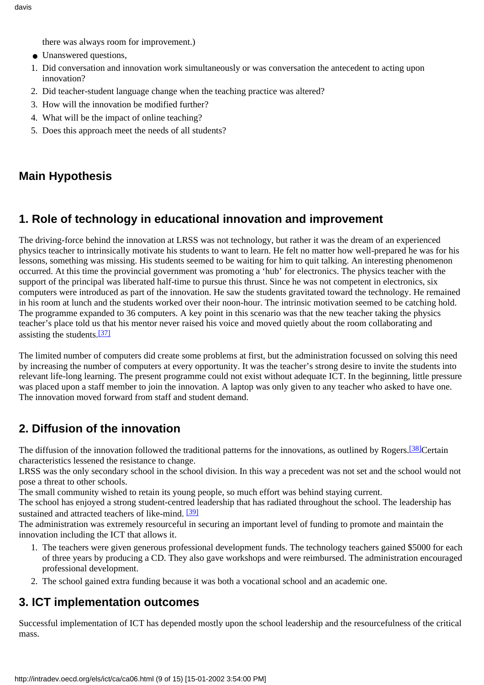there was always room for improvement.)

- Unanswered questions,
- 1. Did conversation and innovation work simultaneously or was conversation the antecedent to acting upon innovation?
- 2. Did teacher-student language change when the teaching practice was altered?
- 3. How will the innovation be modified further?
- 4. What will be the impact of online teaching?
- 5. Does this approach meet the needs of all students?

## **Main Hypothesis**

## **1. Role of technology in educational innovation and improvement**

The driving-force behind the innovation at LRSS was not technology, but rather it was the dream of an experienced physics teacher to intrinsically motivate his students to want to learn. He felt no matter how well-prepared he was for his lessons, something was missing. His students seemed to be waiting for him to quit talking. An interesting phenomenon occurred. At this time the provincial government was promoting a 'hub' for electronics. The physics teacher with the support of the principal was liberated half-time to pursue this thrust. Since he was not competent in electronics, six computers were introduced as part of the innovation. He saw the students gravitated toward the technology. He remained in his room at lunch and the students worked over their noon-hour. The intrinsic motivation seemed to be catching hold. The programme expanded to 36 computers. A key point in this scenario was that the new teacher taking the physics teacher's place told us that his mentor never raised his voice and moved quietly about the room collaborating and assisting the students.[\[37\]](#page-14-24)

<span id="page-8-0"></span>The limited number of computers did create some problems at first, but the administration focussed on solving this need by increasing the number of computers at every opportunity. It was the teacher's strong desire to invite the students into relevant life-long learning. The present programme could not exist without adequate ICT. In the beginning, little pressure was placed upon a staff member to join the innovation. A laptop was only given to any teacher who asked to have one. The innovation moved forward from staff and student demand.

# **2. Diffusion of the innovation**

<span id="page-8-1"></span>The diffusion of the innovation followed the traditional patterns for the innovations, as outlined by Rogers.<sup>[38]</sup>Certain characteristics lessened the resistance to change.

LRSS was the only secondary school in the school division. In this way a precedent was not set and the school would not pose a threat to other schools.

The small community wished to retain its young people, so much effort was behind staying current.

The school has enjoyed a strong student-centred leadership that has radiated throughout the school. The leadership has sustained and attracted teachers of like-mind. <sup>[39]</sup>

<span id="page-8-2"></span>The administration was extremely resourceful in securing an important level of funding to promote and maintain the innovation including the ICT that allows it.

- 1. The teachers were given generous professional development funds. The technology teachers gained \$5000 for each of three years by producing a CD. They also gave workshops and were reimbursed. The administration encouraged professional development.
- 2. The school gained extra funding because it was both a vocational school and an academic one.

## **3. ICT implementation outcomes**

Successful implementation of ICT has depended mostly upon the school leadership and the resourcefulness of the critical mass.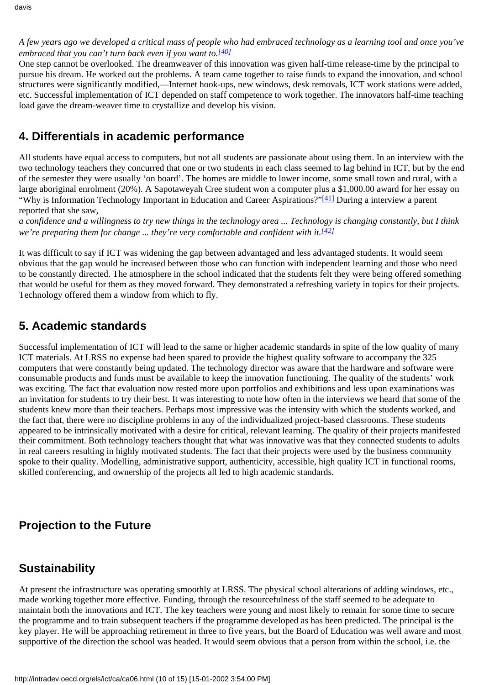*A few years ago we developed a critical mass of people who had embraced technology as a learning tool and once you've embraced that you can't turn back even if you want to[.\[40\]](#page-14-27)*

<span id="page-9-0"></span>One step cannot be overlooked. The dreamweaver of this innovation was given half-time release-time by the principal to pursue his dream. He worked out the problems. A team came together to raise funds to expand the innovation, and school structures were significantly modified,—Internet hook-ups, new windows, desk removals, ICT work stations were added, etc. Successful implementation of ICT depended on staff competence to work together. The innovators half-time teaching load gave the dream-weaver time to crystallize and develop his vision.

## **4. Differentials in academic performance**

All students have equal access to computers, but not all students are passionate about using them. In an interview with the two technology teachers they concurred that one or two students in each class seemed to lag behind in ICT, but by the end of the semester they were usually 'on board'. The homes are middle to lower income, some small town and rural, with a large aboriginal enrolment (20%). A Sapotaweyah Cree student won a computer plus a \$1,000.00 award for her essay on "Why is Information Technology Important in Education and Career Aspirations?"<sup>[41]</sup> During a interview a parent reported that she saw,

<span id="page-9-2"></span><span id="page-9-1"></span>*a confidence and a willingness to try new things in the technology area ... Technology is changing constantly, but I think we're preparing them for change ... they're very comfortable and confident with it.<sup>[42]</sup>* 

It was difficult to say if ICT was widening the gap between advantaged and less advantaged students. It would seem obvious that the gap would be increased between those who can function with independent learning and those who need to be constantly directed. The atmosphere in the school indicated that the students felt they were being offered something that would be useful for them as they moved forward. They demonstrated a refreshing variety in topics for their projects. Technology offered them a window from which to fly.

## **5. Academic standards**

Successful implementation of ICT will lead to the same or higher academic standards in spite of the low quality of many ICT materials. At LRSS no expense had been spared to provide the highest quality software to accompany the 325 computers that were constantly being updated. The technology director was aware that the hardware and software were consumable products and funds must be available to keep the innovation functioning. The quality of the students' work was exciting. The fact that evaluation now rested more upon portfolios and exhibitions and less upon examinations was an invitation for students to try their best. It was interesting to note how often in the interviews we heard that some of the students knew more than their teachers. Perhaps most impressive was the intensity with which the students worked, and the fact that, there were no discipline problems in any of the individualized project-based classrooms. These students appeared to be intrinsically motivated with a desire for critical, relevant learning. The quality of their projects manifested their commitment. Both technology teachers thought that what was innovative was that they connected students to adults in real careers resulting in highly motivated students. The fact that their projects were used by the business community spoke to their quality. Modelling, administrative support, authenticity, accessible, high quality ICT in functional rooms, skilled conferencing, and ownership of the projects all led to high academic standards.

## **Projection to the Future**

## **Sustainability**

At present the infrastructure was operating smoothly at LRSS. The physical school alterations of adding windows, etc., made working together more effective. Funding, through the resourcefulness of the staff seemed to be adequate to maintain both the innovations and ICT. The key teachers were young and most likely to remain for some time to secure the programme and to train subsequent teachers if the programme developed as has been predicted. The principal is the key player. He will be approaching retirement in three to five years, but the Board of Education was well aware and most supportive of the direction the school was headed. It would seem obvious that a person from within the school, i.e. the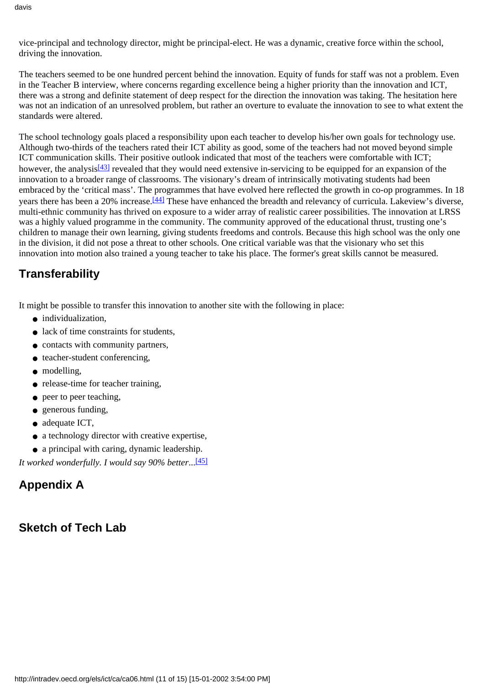davis

vice-principal and technology director, might be principal-elect. He was a dynamic, creative force within the school, driving the innovation.

The teachers seemed to be one hundred percent behind the innovation. Equity of funds for staff was not a problem. Even in the Teacher B interview, where concerns regarding excellence being a higher priority than the innovation and ICT, there was a strong and definite statement of deep respect for the direction the innovation was taking. The hesitation here was not an indication of an unresolved problem, but rather an overture to evaluate the innovation to see to what extent the standards were altered.

<span id="page-10-1"></span><span id="page-10-0"></span>The school technology goals placed a responsibility upon each teacher to develop his/her own goals for technology use. Although two-thirds of the teachers rated their ICT ability as good, some of the teachers had not moved beyond simple ICT communication skills. Their positive outlook indicated that most of the teachers were comfortable with ICT; however, the analysis<sup>[43]</sup> revealed that they would need extensive in-servicing to be equipped for an expansion of the innovation to a broader range of classrooms. The visionary's dream of intrinsically motivating students had been embraced by the 'critical mass'. The programmes that have evolved here reflected the growth in co-op programmes. In 18 years there has been a 20% increase.<sup>[44]</sup> These have enhanced the breadth and relevancy of curricula. Lakeview's diverse, multi-ethnic community has thrived on exposure to a wider array of realistic career possibilities. The innovation at LRSS was a highly valued programme in the community. The community approved of the educational thrust, trusting one's children to manage their own learning, giving students freedoms and controls. Because this high school was the only one in the division, it did not pose a threat to other schools. One critical variable was that the visionary who set this innovation into motion also trained a young teacher to take his place. The former's great skills cannot be measured.

# **Transferability**

It might be possible to transfer this innovation to another site with the following in place:

- individualization.
- lack of time constraints for students,
- contacts with community partners,
- teacher-student conferencing,
- modelling,
- release-time for teacher training,
- peer to peer teaching,
- generous funding,
- adequate ICT,
- a technology director with creative expertise,
- a principal with caring, dynamic leadership.

<span id="page-10-2"></span>*It worked wonderfully. I would say 90% better*..[.\[45\]](#page-14-32)

# **Appendix A**

## **Sketch of Tech Lab**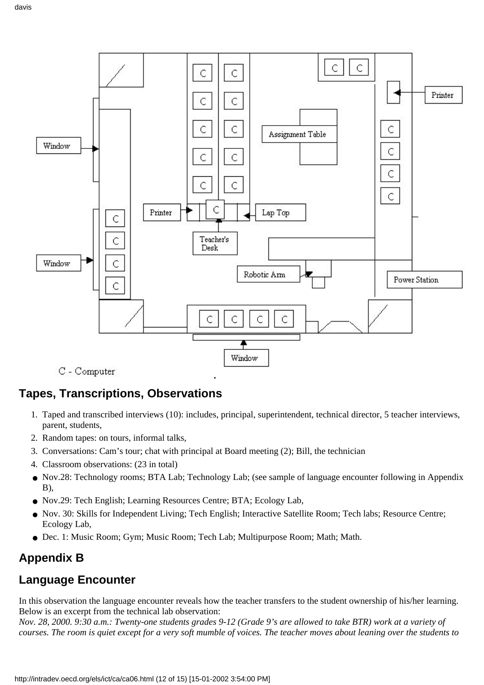

C - Computer

## **Tapes, Transcriptions, Observations**

- 1. Taped and transcribed interviews (10): includes, principal, superintendent, technical director, 5 teacher interviews, parent, students,
- 2. Random tapes: on tours, informal talks,
- 3. Conversations: Cam's tour; chat with principal at Board meeting (2); Bill, the technician
- 4. Classroom observations: (23 in total)
- Nov.28: Technology rooms; BTA Lab; Technology Lab; (see sample of language encounter following in Appendix B),
- Nov.29: Tech English; Learning Resources Centre; BTA; Ecology Lab,
- Nov. 30: Skills for Independent Living; Tech English; Interactive Satellite Room; Tech labs; Resource Centre; Ecology Lab,
- Dec. 1: Music Room; Gym; Music Room; Tech Lab; Multipurpose Room; Math; Math.

## **Appendix B**

## **Language Encounter**

In this observation the language encounter reveals how the teacher transfers to the student ownership of his/her learning. Below is an excerpt from the technical lab observation:

*Nov. 28, 2000. 9:30 a.m.: Twenty-one students grades 9-12 (Grade 9's are allowed to take BTR) work at a variety of courses. The room is quiet except for a very soft mumble of voices. The teacher moves about leaning over the students to*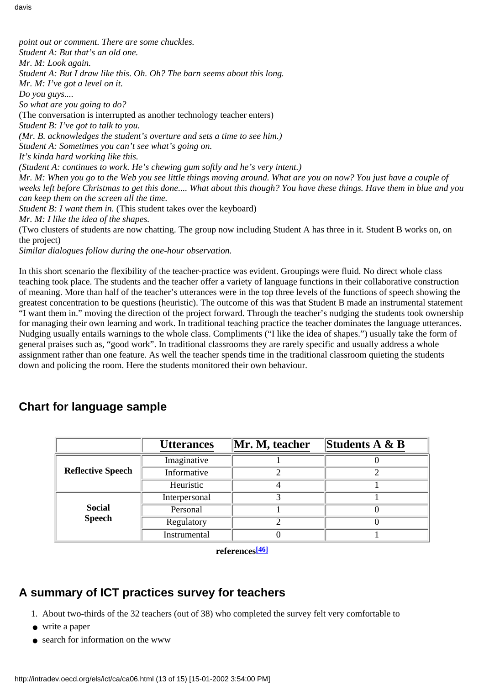*point out or comment. There are some chuckles. Student A: But that's an old one. Mr. M: Look again. Student A: But I draw like this. Oh. Oh? The barn seems about this long. Mr. M: I've got a level on it. Do you guys.... So what are you going to do?* (The conversation is interrupted as another technology teacher enters) *Student B: I've got to talk to you. (Mr. B. acknowledges the student's overture and sets a time to see him.) Student A: Sometimes you can't see what's going on. It's kinda hard working like this. (Student A: continues to work. He's chewing gum softly and he's very intent.) Mr. M: When you go to the Web you see little things moving around. What are you on now? You just have a couple of weeks left before Christmas to get this done.... What about this though? You have these things. Have them in blue and you can keep them on the screen all the time. Student B: I want them in.* (This student takes over the keyboard) *Mr. M: I like the idea of the shapes.* (Two clusters of students are now chatting. The group now including Student A has three in it. Student B works on, on the project) *Similar dialogues follow during the one-hour observation.*

In this short scenario the flexibility of the teacher-practice was evident. Groupings were fluid. No direct whole class teaching took place. The students and the teacher offer a variety of language functions in their collaborative construction of meaning. More than half of the teacher's utterances were in the top three levels of the functions of speech showing the greatest concentration to be questions (heuristic). The outcome of this was that Student B made an instrumental statement "I want them in." moving the direction of the project forward. Through the teacher's nudging the students took ownership for managing their own learning and work. In traditional teaching practice the teacher dominates the language utterances. Nudging usually entails warnings to the whole class. Compliments ("I like the idea of shapes.") usually take the form of general praises such as, "good work". In traditional classrooms they are rarely specific and usually address a whole assignment rather than one feature. As well the teacher spends time in the traditional classroom quieting the students down and policing the room. Here the students monitored their own behaviour.

|                                | <b>Utterances</b> | Mr. M, teacher | Students $A \& B$ |
|--------------------------------|-------------------|----------------|-------------------|
| <b>Reflective Speech</b>       | Imaginative       |                |                   |
|                                | Informative       |                |                   |
|                                | Heuristic         |                |                   |
| <b>Social</b><br><b>Speech</b> | Interpersonal     |                |                   |
|                                | Personal          |                |                   |
|                                | Regulatory        |                |                   |
|                                | Instrumental      |                |                   |

## **Chart for language sample**

**references[\[46\]](#page-14-33)**

## <span id="page-12-0"></span>**A summary of ICT practices survey for teachers**

- 1. About two-thirds of the 32 teachers (out of 38) who completed the survey felt very comfortable to
- write a paper
- search for information on the www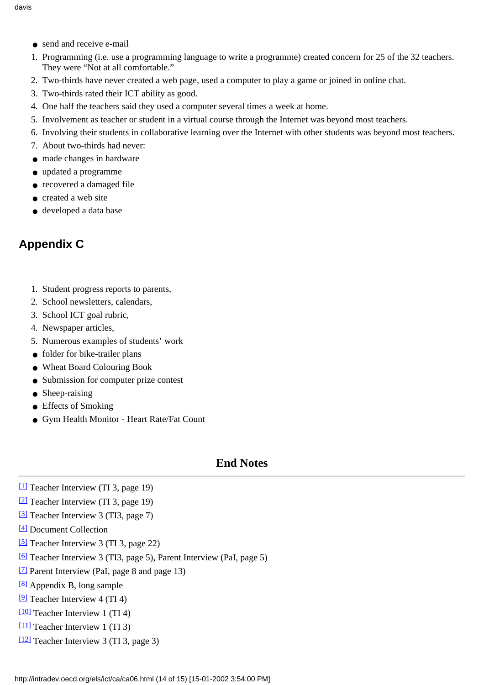- send and receive e-mail
- 1. Programming (i.e. use a programming language to write a programme) created concern for 25 of the 32 teachers. They were "Not at all comfortable."
- 2. Two-thirds have never created a web page, used a computer to play a game or joined in online chat.
- 3. Two-thirds rated their ICT ability as good.
- 4. One half the teachers said they used a computer several times a week at home.
- 5. Involvement as teacher or student in a virtual course through the Internet was beyond most teachers.
- 6. Involving their students in collaborative learning over the Internet with other students was beyond most teachers.
- 7. About two-thirds had never:
- made changes in hardware
- updated a programme
- recovered a damaged file
- created a web site
- developed a data base

## **Appendix C**

- 1. Student progress reports to parents,
- 2. School newsletters, calendars,
- 3. School ICT goal rubric,
- 4. Newspaper articles,
- 5. Numerous examples of students' work
- folder for bike-trailer plans
- Wheat Board Colouring Book
- Submission for computer prize contest
- Sheep-raising
- Effects of Smoking
- Gym Health Monitor Heart Rate/Fat Count

### **End Notes**

- <span id="page-13-0"></span>[\[1\]](#page-0-0) Teacher Interview (TI 3, page 19)
- <span id="page-13-1"></span>[\[2\]](#page-0-1) Teacher Interview (TI 3, page 19)
- <span id="page-13-2"></span>[\[3\]](#page-0-2) Teacher Interview 3 (TI3, page 7)
- <span id="page-13-3"></span>[\[4\]](#page-1-0) Document Collection
- <span id="page-13-4"></span>[\[5\]](#page-1-1) Teacher Interview 3 (TI 3, page 22)
- <span id="page-13-5"></span>[\[6\]](#page-1-2) Teacher Interview 3 (TI3, page 5), Parent Interview (PaI, page 5)
- <span id="page-13-6"></span>[\[7\]](#page-1-2) Parent Interview (PaI, page 8 and page 13)
- <span id="page-13-7"></span>[\[8\]](#page-1-3) Appendix B, long sample
- <span id="page-13-8"></span> $[9]$  Teacher Interview 4 (TI 4)
- <span id="page-13-9"></span>[\[10\]](#page-1-5) Teacher Interview 1 (TI 4)
- <span id="page-13-10"></span>[\[11\]](#page-2-0) Teacher Interview 1 (TI 3)
- <span id="page-13-11"></span>[\[12\]](#page-2-1) Teacher Interview 3 (TI 3, page 3)